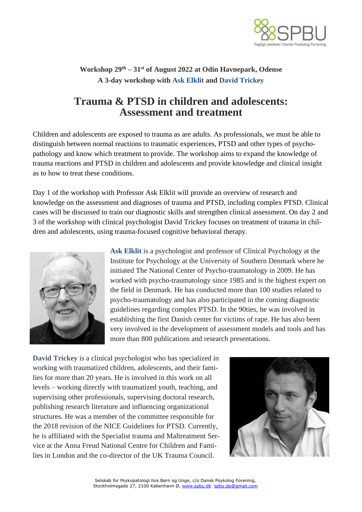

## **Workshop 29th – 31st of August 2022 at Odin Havnepark, Odense A 3-day workshop with Ask Elklit and David Trickey**

## **Trauma & PTSD in children and adolescents: Assessment and treatment**

Children and adolescents are exposed to trauma as are adults. As professionals, we must be able to distinguish between normal reactions to traumatic experiences, PTSD and other types of psychopathology and know which treatment to provide. The workshop aims to expand the knowledge of trauma reactions and PTSD in children and adolescents and provide knowledge and clinical insight as to how to treat these conditions.

Day 1 of the workshop with Professor Ask Elklit will provide an overview of research and knowledge on the assessment and diagnoses of trauma and PTSD, including complex PTSD. Clinical cases will be discussed to train our diagnostic skills and strengthen clinical assessment. On day 2 and 3 of the workshop with clinical psychologist David Trickey focuses on treatment of trauma in children and adolescents, using trauma-focused cognitive behavioral therapy.



**Ask Elklit** is a psychologist and professor of Clinical Psychology at the Institute for Psychology at the University of Southern Denmark where he initiated The National Center of Psycho-traumatology in 2009. He has worked with psycho-traumatology since 1985 and is the highest expert on the field in Denmark. He has conducted more than 100 studies related to psycho-traumatology and has also participated in the coming diagnostic guidelines regarding complex PTSD. In the 90ties, he was involved in establishing the first Danish center for victims of rape. He has also been very involved in the development of assessment models and tools and has more than 800 publications and research presentations.

**David Trickey** is a clinical psychologist who has specialized in working with traumatized children, adolescents, and their families for more than 20 years. He is involved in this work on all levels – working directly with traumatized youth, teaching, and supervising other professionals, supervising doctoral research, publishing research literature and influencing organizational structures. He was a member of the committee responsible for the 2018 revision of the NICE Guidelines for PTSD. Currently, he is affiliated with the Specialist trauma and Maltreatment Service at the Anna Freud National Centre for Children and Families in London and the co-director of the UK Trauma Council.